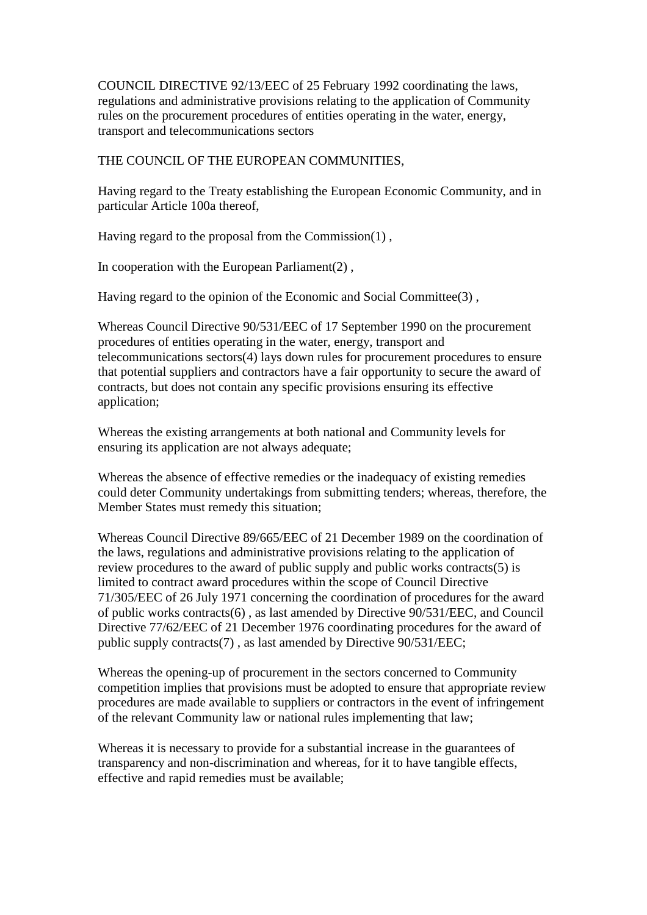COUNCIL DIRECTIVE 92/13/EEC of 25 February 1992 coordinating the laws, regulations and administrative provisions relating to the application of Community rules on the procurement procedures of entities operating in the water, energy, transport and telecommunications sectors

THE COUNCIL OF THE EUROPEAN COMMUNITIES,

Having regard to the Treaty establishing the European Economic Community, and in particular Article 100a thereof,

Having regard to the proposal from the Commission(1) ,

In cooperation with the European Parliament $(2)$ ,

Having regard to the opinion of the Economic and Social Committee(3) ,

Whereas Council Directive 90/531/EEC of 17 September 1990 on the procurement procedures of entities operating in the water, energy, transport and telecommunications sectors(4) lays down rules for procurement procedures to ensure that potential suppliers and contractors have a fair opportunity to secure the award of contracts, but does not contain any specific provisions ensuring its effective application;

Whereas the existing arrangements at both national and Community levels for ensuring its application are not always adequate;

Whereas the absence of effective remedies or the inadequacy of existing remedies could deter Community undertakings from submitting tenders; whereas, therefore, the Member States must remedy this situation;

Whereas Council Directive 89/665/EEC of 21 December 1989 on the coordination of the laws, regulations and administrative provisions relating to the application of review procedures to the award of public supply and public works contracts(5) is limited to contract award procedures within the scope of Council Directive 71/305/EEC of 26 July 1971 concerning the coordination of procedures for the award of public works contracts(6) , as last amended by Directive 90/531/EEC, and Council Directive 77/62/EEC of 21 December 1976 coordinating procedures for the award of public supply contracts(7) , as last amended by Directive 90/531/EEC;

Whereas the opening-up of procurement in the sectors concerned to Community competition implies that provisions must be adopted to ensure that appropriate review procedures are made available to suppliers or contractors in the event of infringement of the relevant Community law or national rules implementing that law;

Whereas it is necessary to provide for a substantial increase in the guarantees of transparency and non-discrimination and whereas, for it to have tangible effects, effective and rapid remedies must be available;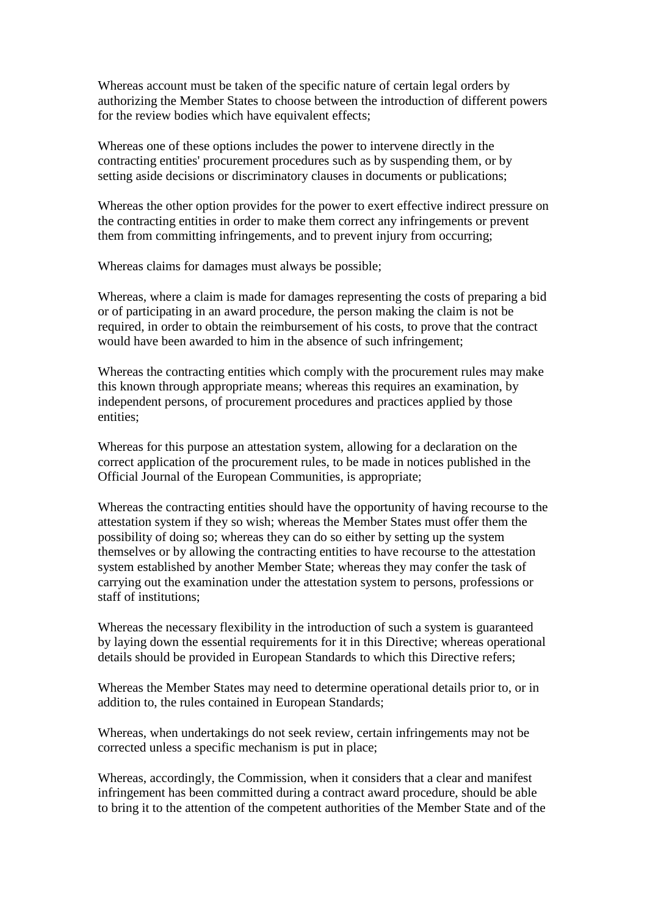Whereas account must be taken of the specific nature of certain legal orders by authorizing the Member States to choose between the introduction of different powers for the review bodies which have equivalent effects;

Whereas one of these options includes the power to intervene directly in the contracting entities' procurement procedures such as by suspending them, or by setting aside decisions or discriminatory clauses in documents or publications;

Whereas the other option provides for the power to exert effective indirect pressure on the contracting entities in order to make them correct any infringements or prevent them from committing infringements, and to prevent injury from occurring;

Whereas claims for damages must always be possible;

Whereas, where a claim is made for damages representing the costs of preparing a bid or of participating in an award procedure, the person making the claim is not be required, in order to obtain the reimbursement of his costs, to prove that the contract would have been awarded to him in the absence of such infringement;

Whereas the contracting entities which comply with the procurement rules may make this known through appropriate means; whereas this requires an examination, by independent persons, of procurement procedures and practices applied by those entities;

Whereas for this purpose an attestation system, allowing for a declaration on the correct application of the procurement rules, to be made in notices published in the Official Journal of the European Communities, is appropriate;

Whereas the contracting entities should have the opportunity of having recourse to the attestation system if they so wish; whereas the Member States must offer them the possibility of doing so; whereas they can do so either by setting up the system themselves or by allowing the contracting entities to have recourse to the attestation system established by another Member State; whereas they may confer the task of carrying out the examination under the attestation system to persons, professions or staff of institutions;

Whereas the necessary flexibility in the introduction of such a system is guaranteed by laying down the essential requirements for it in this Directive; whereas operational details should be provided in European Standards to which this Directive refers;

Whereas the Member States may need to determine operational details prior to, or in addition to, the rules contained in European Standards;

Whereas, when undertakings do not seek review, certain infringements may not be corrected unless a specific mechanism is put in place;

Whereas, accordingly, the Commission, when it considers that a clear and manifest infringement has been committed during a contract award procedure, should be able to bring it to the attention of the competent authorities of the Member State and of the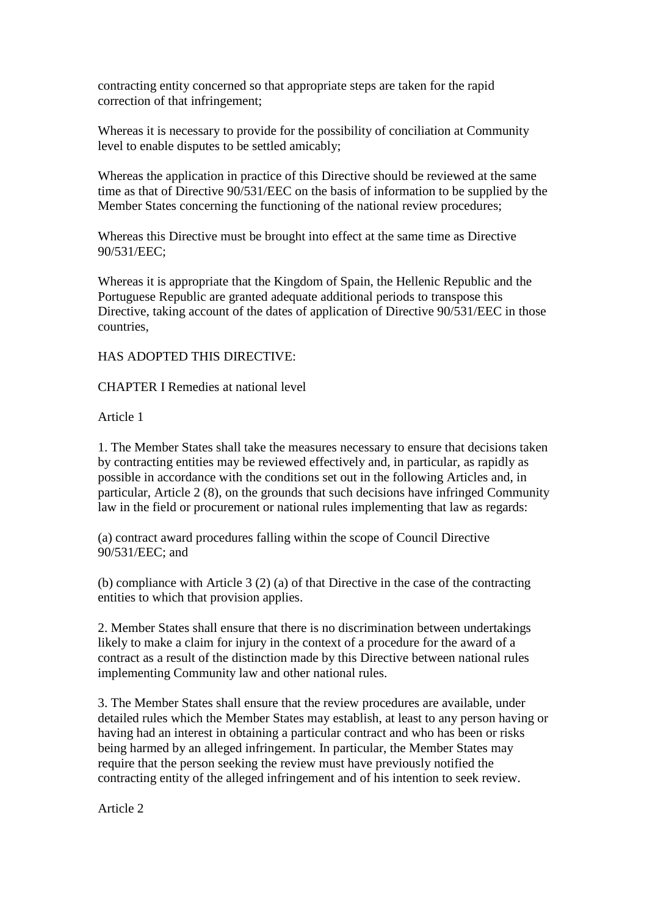contracting entity concerned so that appropriate steps are taken for the rapid correction of that infringement;

Whereas it is necessary to provide for the possibility of conciliation at Community level to enable disputes to be settled amicably;

Whereas the application in practice of this Directive should be reviewed at the same time as that of Directive 90/531/EEC on the basis of information to be supplied by the Member States concerning the functioning of the national review procedures;

Whereas this Directive must be brought into effect at the same time as Directive 90/531/EEC;

Whereas it is appropriate that the Kingdom of Spain, the Hellenic Republic and the Portuguese Republic are granted adequate additional periods to transpose this Directive, taking account of the dates of application of Directive 90/531/EEC in those countries,

# HAS ADOPTED THIS DIRECTIVE:

CHAPTER I Remedies at national level

Article 1

1. The Member States shall take the measures necessary to ensure that decisions taken by contracting entities may be reviewed effectively and, in particular, as rapidly as possible in accordance with the conditions set out in the following Articles and, in particular, Article 2 (8), on the grounds that such decisions have infringed Community law in the field or procurement or national rules implementing that law as regards:

(a) contract award procedures falling within the scope of Council Directive 90/531/EEC; and

(b) compliance with Article 3 (2) (a) of that Directive in the case of the contracting entities to which that provision applies.

2. Member States shall ensure that there is no discrimination between undertakings likely to make a claim for injury in the context of a procedure for the award of a contract as a result of the distinction made by this Directive between national rules implementing Community law and other national rules.

3. The Member States shall ensure that the review procedures are available, under detailed rules which the Member States may establish, at least to any person having or having had an interest in obtaining a particular contract and who has been or risks being harmed by an alleged infringement. In particular, the Member States may require that the person seeking the review must have previously notified the contracting entity of the alleged infringement and of his intention to seek review.

Article 2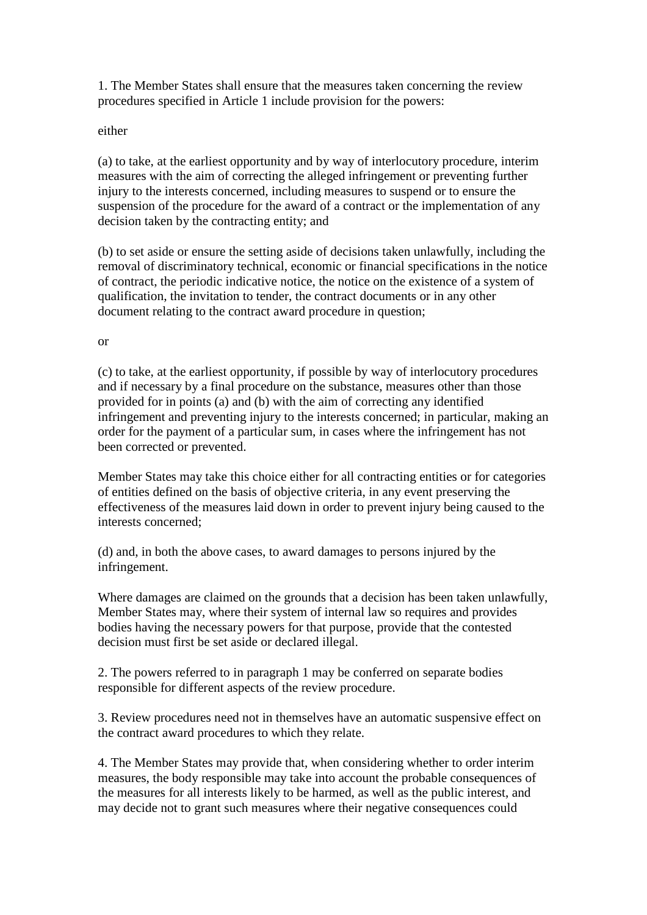1. The Member States shall ensure that the measures taken concerning the review procedures specified in Article 1 include provision for the powers:

#### either

(a) to take, at the earliest opportunity and by way of interlocutory procedure, interim measures with the aim of correcting the alleged infringement or preventing further injury to the interests concerned, including measures to suspend or to ensure the suspension of the procedure for the award of a contract or the implementation of any decision taken by the contracting entity; and

(b) to set aside or ensure the setting aside of decisions taken unlawfully, including the removal of discriminatory technical, economic or financial specifications in the notice of contract, the periodic indicative notice, the notice on the existence of a system of qualification, the invitation to tender, the contract documents or in any other document relating to the contract award procedure in question;

#### or

(c) to take, at the earliest opportunity, if possible by way of interlocutory procedures and if necessary by a final procedure on the substance, measures other than those provided for in points (a) and (b) with the aim of correcting any identified infringement and preventing injury to the interests concerned; in particular, making an order for the payment of a particular sum, in cases where the infringement has not been corrected or prevented.

Member States may take this choice either for all contracting entities or for categories of entities defined on the basis of objective criteria, in any event preserving the effectiveness of the measures laid down in order to prevent injury being caused to the interests concerned;

(d) and, in both the above cases, to award damages to persons injured by the infringement.

Where damages are claimed on the grounds that a decision has been taken unlawfully, Member States may, where their system of internal law so requires and provides bodies having the necessary powers for that purpose, provide that the contested decision must first be set aside or declared illegal.

2. The powers referred to in paragraph 1 may be conferred on separate bodies responsible for different aspects of the review procedure.

3. Review procedures need not in themselves have an automatic suspensive effect on the contract award procedures to which they relate.

4. The Member States may provide that, when considering whether to order interim measures, the body responsible may take into account the probable consequences of the measures for all interests likely to be harmed, as well as the public interest, and may decide not to grant such measures where their negative consequences could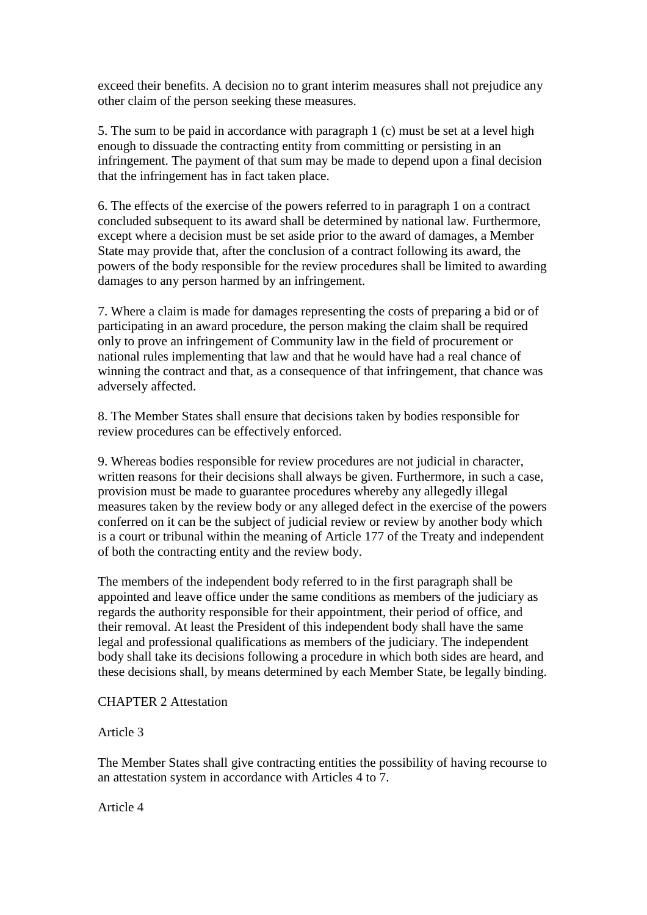exceed their benefits. A decision no to grant interim measures shall not prejudice any other claim of the person seeking these measures.

5. The sum to be paid in accordance with paragraph 1 (c) must be set at a level high enough to dissuade the contracting entity from committing or persisting in an infringement. The payment of that sum may be made to depend upon a final decision that the infringement has in fact taken place.

6. The effects of the exercise of the powers referred to in paragraph 1 on a contract concluded subsequent to its award shall be determined by national law. Furthermore, except where a decision must be set aside prior to the award of damages, a Member State may provide that, after the conclusion of a contract following its award, the powers of the body responsible for the review procedures shall be limited to awarding damages to any person harmed by an infringement.

7. Where a claim is made for damages representing the costs of preparing a bid or of participating in an award procedure, the person making the claim shall be required only to prove an infringement of Community law in the field of procurement or national rules implementing that law and that he would have had a real chance of winning the contract and that, as a consequence of that infringement, that chance was adversely affected.

8. The Member States shall ensure that decisions taken by bodies responsible for review procedures can be effectively enforced.

9. Whereas bodies responsible for review procedures are not judicial in character, written reasons for their decisions shall always be given. Furthermore, in such a case, provision must be made to guarantee procedures whereby any allegedly illegal measures taken by the review body or any alleged defect in the exercise of the powers conferred on it can be the subject of judicial review or review by another body which is a court or tribunal within the meaning of Article 177 of the Treaty and independent of both the contracting entity and the review body.

The members of the independent body referred to in the first paragraph shall be appointed and leave office under the same conditions as members of the judiciary as regards the authority responsible for their appointment, their period of office, and their removal. At least the President of this independent body shall have the same legal and professional qualifications as members of the judiciary. The independent body shall take its decisions following a procedure in which both sides are heard, and these decisions shall, by means determined by each Member State, be legally binding.

#### CHAPTER 2 Attestation

#### Article 3

The Member States shall give contracting entities the possibility of having recourse to an attestation system in accordance with Articles 4 to 7.

Article 4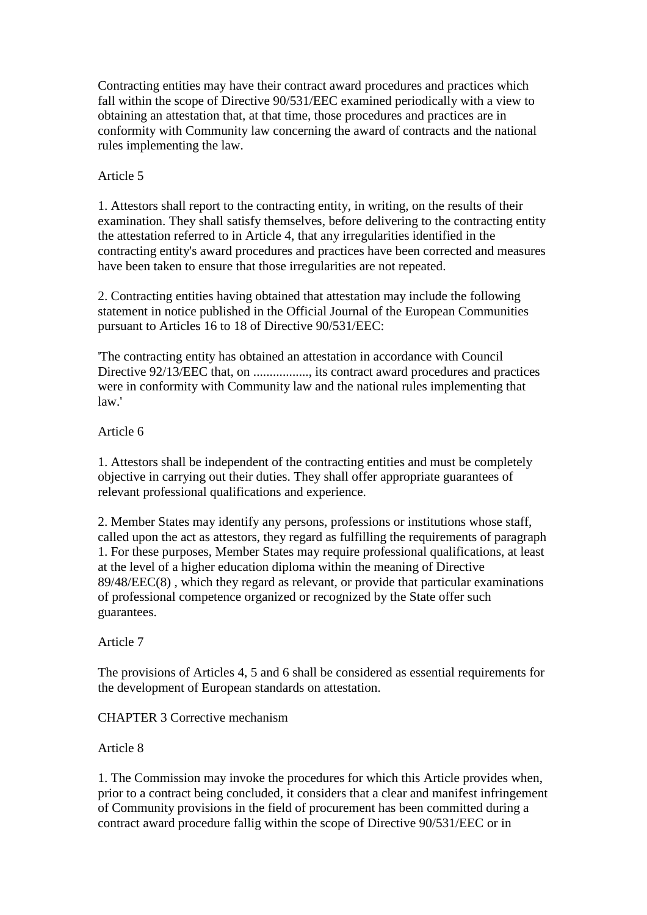Contracting entities may have their contract award procedures and practices which fall within the scope of Directive 90/531/EEC examined periodically with a view to obtaining an attestation that, at that time, those procedures and practices are in conformity with Community law concerning the award of contracts and the national rules implementing the law.

# Article 5

1. Attestors shall report to the contracting entity, in writing, on the results of their examination. They shall satisfy themselves, before delivering to the contracting entity the attestation referred to in Article 4, that any irregularities identified in the contracting entity's award procedures and practices have been corrected and measures have been taken to ensure that those irregularities are not repeated.

2. Contracting entities having obtained that attestation may include the following statement in notice published in the Official Journal of the European Communities pursuant to Articles 16 to 18 of Directive 90/531/EEC:

'The contracting entity has obtained an attestation in accordance with Council Directive 92/13/EEC that, on ................., its contract award procedures and practices were in conformity with Community law and the national rules implementing that law.'

### Article 6

1. Attestors shall be independent of the contracting entities and must be completely objective in carrying out their duties. They shall offer appropriate guarantees of relevant professional qualifications and experience.

2. Member States may identify any persons, professions or institutions whose staff, called upon the act as attestors, they regard as fulfilling the requirements of paragraph 1. For these purposes, Member States may require professional qualifications, at least at the level of a higher education diploma within the meaning of Directive 89/48/EEC(8) , which they regard as relevant, or provide that particular examinations of professional competence organized or recognized by the State offer such guarantees.

#### Article 7

The provisions of Articles 4, 5 and 6 shall be considered as essential requirements for the development of European standards on attestation.

#### CHAPTER 3 Corrective mechanism

#### Article 8

1. The Commission may invoke the procedures for which this Article provides when, prior to a contract being concluded, it considers that a clear and manifest infringement of Community provisions in the field of procurement has been committed during a contract award procedure fallig within the scope of Directive 90/531/EEC or in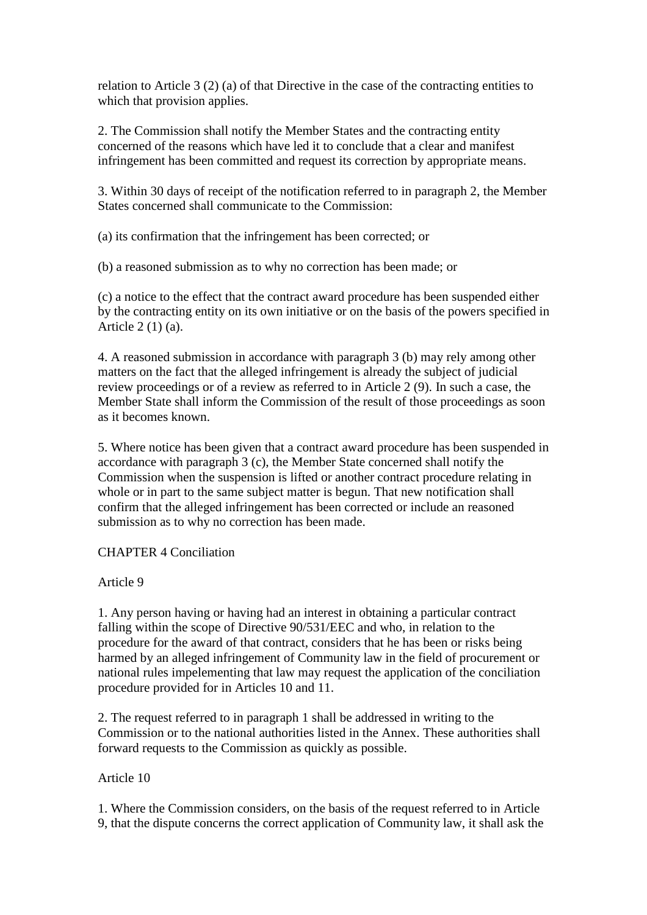relation to Article 3 (2) (a) of that Directive in the case of the contracting entities to which that provision applies.

2. The Commission shall notify the Member States and the contracting entity concerned of the reasons which have led it to conclude that a clear and manifest infringement has been committed and request its correction by appropriate means.

3. Within 30 days of receipt of the notification referred to in paragraph 2, the Member States concerned shall communicate to the Commission:

(a) its confirmation that the infringement has been corrected; or

(b) a reasoned submission as to why no correction has been made; or

(c) a notice to the effect that the contract award procedure has been suspended either by the contracting entity on its own initiative or on the basis of the powers specified in Article 2 (1) (a).

4. A reasoned submission in accordance with paragraph 3 (b) may rely among other matters on the fact that the alleged infringement is already the subject of judicial review proceedings or of a review as referred to in Article 2 (9). In such a case, the Member State shall inform the Commission of the result of those proceedings as soon as it becomes known.

5. Where notice has been given that a contract award procedure has been suspended in accordance with paragraph 3 (c), the Member State concerned shall notify the Commission when the suspension is lifted or another contract procedure relating in whole or in part to the same subject matter is begun. That new notification shall confirm that the alleged infringement has been corrected or include an reasoned submission as to why no correction has been made.

#### CHAPTER 4 Conciliation

Article 9

1. Any person having or having had an interest in obtaining a particular contract falling within the scope of Directive 90/531/EEC and who, in relation to the procedure for the award of that contract, considers that he has been or risks being harmed by an alleged infringement of Community law in the field of procurement or national rules impelementing that law may request the application of the conciliation procedure provided for in Articles 10 and 11.

2. The request referred to in paragraph 1 shall be addressed in writing to the Commission or to the national authorities listed in the Annex. These authorities shall forward requests to the Commission as quickly as possible.

# Article 10

1. Where the Commission considers, on the basis of the request referred to in Article 9, that the dispute concerns the correct application of Community law, it shall ask the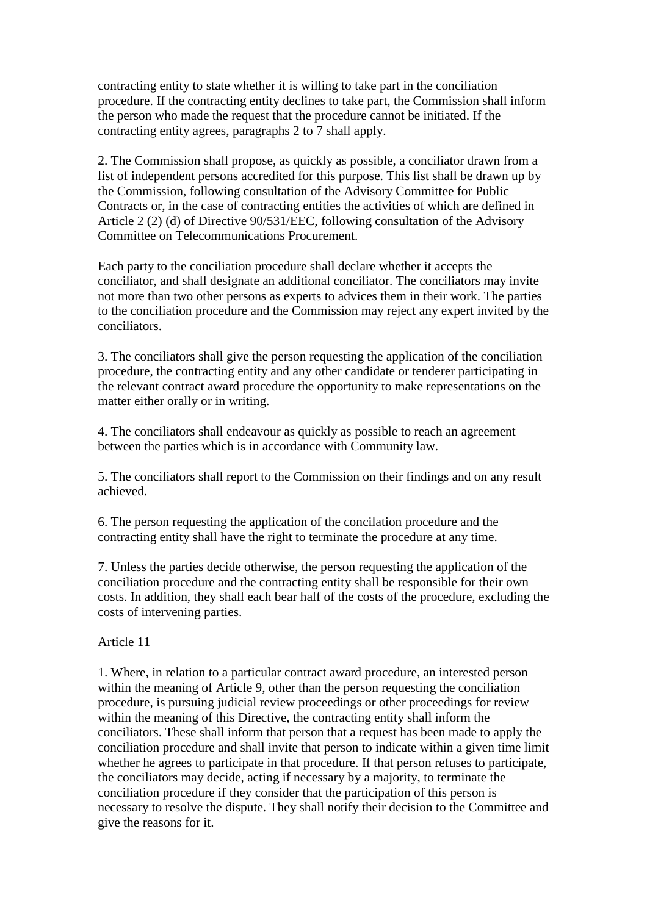contracting entity to state whether it is willing to take part in the conciliation procedure. If the contracting entity declines to take part, the Commission shall inform the person who made the request that the procedure cannot be initiated. If the contracting entity agrees, paragraphs 2 to 7 shall apply.

2. The Commission shall propose, as quickly as possible, a conciliator drawn from a list of independent persons accredited for this purpose. This list shall be drawn up by the Commission, following consultation of the Advisory Committee for Public Contracts or, in the case of contracting entities the activities of which are defined in Article 2 (2) (d) of Directive 90/531/EEC, following consultation of the Advisory Committee on Telecommunications Procurement.

Each party to the conciliation procedure shall declare whether it accepts the conciliator, and shall designate an additional conciliator. The conciliators may invite not more than two other persons as experts to advices them in their work. The parties to the conciliation procedure and the Commission may reject any expert invited by the conciliators.

3. The conciliators shall give the person requesting the application of the conciliation procedure, the contracting entity and any other candidate or tenderer participating in the relevant contract award procedure the opportunity to make representations on the matter either orally or in writing.

4. The conciliators shall endeavour as quickly as possible to reach an agreement between the parties which is in accordance with Community law.

5. The conciliators shall report to the Commission on their findings and on any result achieved.

6. The person requesting the application of the concilation procedure and the contracting entity shall have the right to terminate the procedure at any time.

7. Unless the parties decide otherwise, the person requesting the application of the conciliation procedure and the contracting entity shall be responsible for their own costs. In addition, they shall each bear half of the costs of the procedure, excluding the costs of intervening parties.

Article 11

1. Where, in relation to a particular contract award procedure, an interested person within the meaning of Article 9, other than the person requesting the conciliation procedure, is pursuing judicial review proceedings or other proceedings for review within the meaning of this Directive, the contracting entity shall inform the conciliators. These shall inform that person that a request has been made to apply the conciliation procedure and shall invite that person to indicate within a given time limit whether he agrees to participate in that procedure. If that person refuses to participate, the conciliators may decide, acting if necessary by a majority, to terminate the conciliation procedure if they consider that the participation of this person is necessary to resolve the dispute. They shall notify their decision to the Committee and give the reasons for it.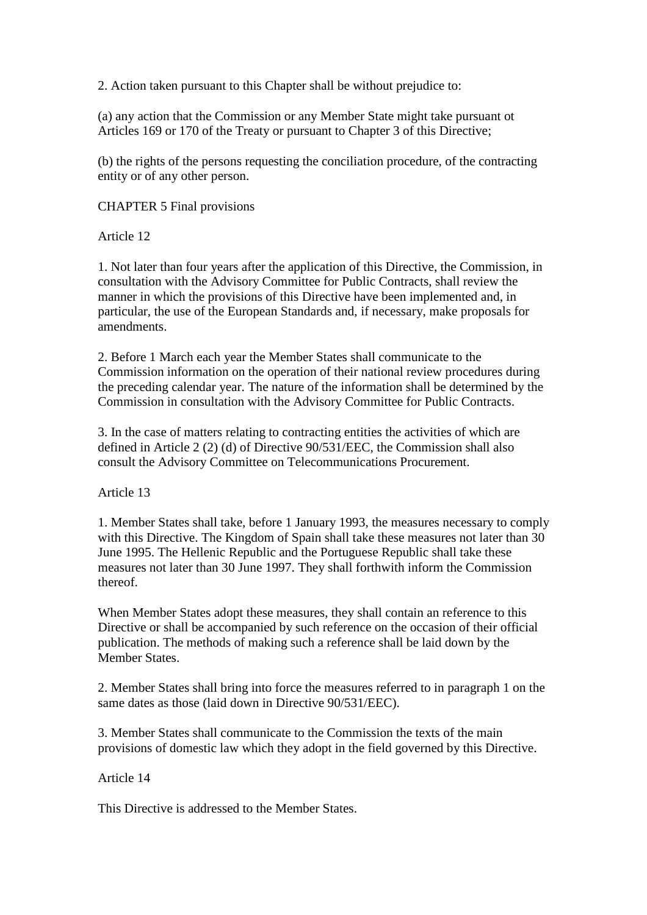2. Action taken pursuant to this Chapter shall be without prejudice to:

(a) any action that the Commission or any Member State might take pursuant ot Articles 169 or 170 of the Treaty or pursuant to Chapter 3 of this Directive;

(b) the rights of the persons requesting the conciliation procedure, of the contracting entity or of any other person.

CHAPTER 5 Final provisions

Article 12

1. Not later than four years after the application of this Directive, the Commission, in consultation with the Advisory Committee for Public Contracts, shall review the manner in which the provisions of this Directive have been implemented and, in particular, the use of the European Standards and, if necessary, make proposals for amendments.

2. Before 1 March each year the Member States shall communicate to the Commission information on the operation of their national review procedures during the preceding calendar year. The nature of the information shall be determined by the Commission in consultation with the Advisory Committee for Public Contracts.

3. In the case of matters relating to contracting entities the activities of which are defined in Article 2 (2) (d) of Directive 90/531/EEC, the Commission shall also consult the Advisory Committee on Telecommunications Procurement.

Article 13

1. Member States shall take, before 1 January 1993, the measures necessary to comply with this Directive. The Kingdom of Spain shall take these measures not later than 30 June 1995. The Hellenic Republic and the Portuguese Republic shall take these measures not later than 30 June 1997. They shall forthwith inform the Commission thereof.

When Member States adopt these measures, they shall contain an reference to this Directive or shall be accompanied by such reference on the occasion of their official publication. The methods of making such a reference shall be laid down by the Member States.

2. Member States shall bring into force the measures referred to in paragraph 1 on the same dates as those (laid down in Directive 90/531/EEC).

3. Member States shall communicate to the Commission the texts of the main provisions of domestic law which they adopt in the field governed by this Directive.

Article 14

This Directive is addressed to the Member States.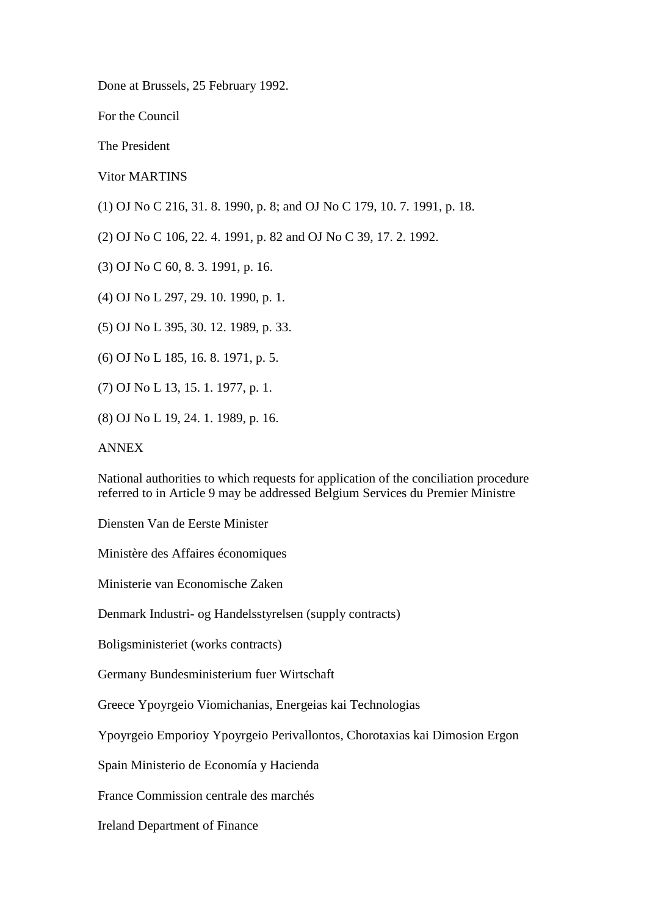Done at Brussels, 25 February 1992.

For the Council

The President

Vitor MARTINS

- (1) OJ No C 216, 31. 8. 1990, p. 8; and OJ No C 179, 10. 7. 1991, p. 18.
- (2) OJ No C 106, 22. 4. 1991, p. 82 and OJ No C 39, 17. 2. 1992.
- (3) OJ No C 60, 8. 3. 1991, p. 16.
- (4) OJ No L 297, 29. 10. 1990, p. 1.
- (5) OJ No L 395, 30. 12. 1989, p. 33.
- (6) OJ No L 185, 16. 8. 1971, p. 5.
- (7) OJ No L 13, 15. 1. 1977, p. 1.
- (8) OJ No L 19, 24. 1. 1989, p. 16.

#### ANNEX

National authorities to which requests for application of the conciliation procedure referred to in Article 9 may be addressed Belgium Services du Premier Ministre

Diensten Van de Eerste Minister

Ministère des Affaires économiques

Ministerie van Economische Zaken

Denmark Industri- og Handelsstyrelsen (supply contracts)

Boligsministeriet (works contracts)

Germany Bundesministerium fuer Wirtschaft

Greece Ypoyrgeio Viomichanias, Energeias kai Technologias

Ypoyrgeio Emporioy Ypoyrgeio Perivallontos, Chorotaxias kai Dimosion Ergon

Spain Ministerio de Economía y Hacienda

France Commission centrale des marchés

Ireland Department of Finance